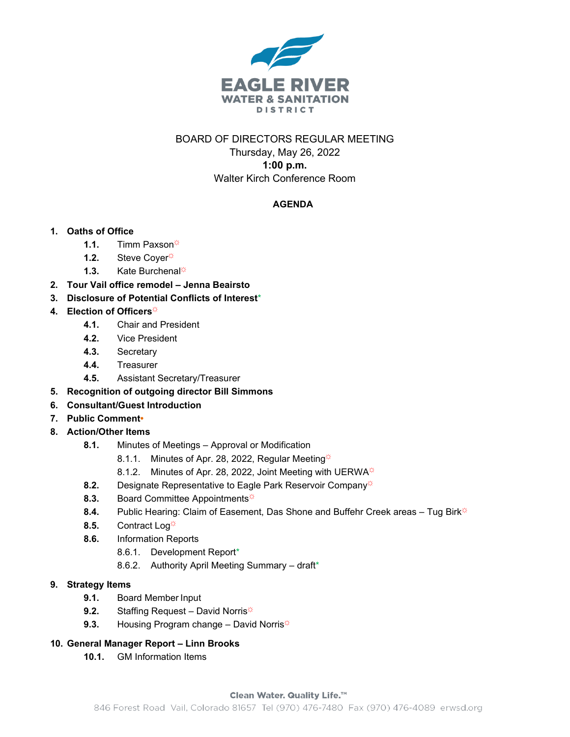

# BOARD OF DIRECTORS REGULAR MEETING Thursday, May 26, 2022 **1:00 p.m.**

# Walter Kirch Conference Room

# **AGENDA**

# **1. Oaths of Office**

- **1.1.** Timm Paxson☼
- 1.2. Steve Coyer<sup> $\ddot{\varphi}$ </sup>
- 1.3. Kate Burchenal<sup></sup>
- **2. Tour Vail office remodel – Jenna Beairsto**
- **3. Disclosure of Potential Conflicts of Interest**\*
- 4. **Election of Officers** 
	- **4.1.** Chair and President
	- **4.2.** Vice President
	- **4.3.** Secretary
	- **4.4.** Treasurer
	- **4.5.** Assistant Secretary/Treasurer
- **5. Recognition of outgoing director Bill Simmons**
- **6. Consultant/Guest Introduction**
- **7. Public Comment•**
- **8. Action/Other Items**
	- **8.1.** Minutes of Meetings Approval or Modification
		- 8.1.1. Minutes of Apr. 28, 2022, Regular Meeting $\ddot{\varphi}$
		- 8.1.2. Minutes of Apr. 28, 2022, Joint Meeting with UERWA
	- 8.2. Designate Representative to Eagle Park Reservoir Company<sup>☆</sup>
	- 8.3. Board Committee Appointments<sup></sup>
	- 8.4. Public Hearing: Claim of Easement, Das Shone and Buffehr Creek areas Tug Birk<sup>\*</sup>
	- 8.5. Contract Log<sup>\*</sup>
	- **8.6.** Information Reports
		- 8.6.1. Development Report\*
		- 8.6.2. Authority April Meeting Summary draft\*

# **9. Strategy Items**

- **9.1.** Board Member Input
- 9.2. Staffing Request David Norris<sup> $\ddot{\varphi}$ </sup>
- **9.3.** Housing Program change David Norris<sup> $\phi$ </sup>

# **10. General Manager Report – Linn Brooks**

**10.1.** GM Information Items

#### Clean Water. Quality Life.™